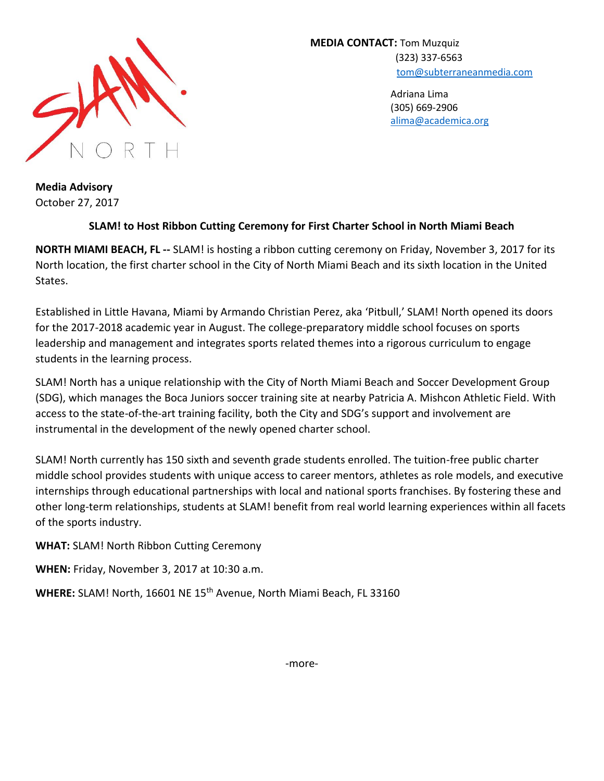

**MEDIA CONTACT:** Tom Muzquiz (323) 337-6563 [tom@subterraneanmedia.com](mailto:tom@subterraneanmedia.com)

> Adriana Lima (305) 669-2906 [alima@academica.org](mailto:alima@academica.org)

**Media Advisory** October 27, 2017

## **SLAM! to Host Ribbon Cutting Ceremony for First Charter School in North Miami Beach**

**NORTH MIAMI BEACH, FL --** SLAM! is hosting a ribbon cutting ceremony on Friday, November 3, 2017 for its North location, the first charter school in the City of North Miami Beach and its sixth location in the United States.

Established in Little Havana, Miami by Armando Christian Perez, aka 'Pitbull,' SLAM! North opened its doors for the 2017-2018 academic year in August. The college-preparatory middle school focuses on sports leadership and management and integrates sports related themes into a rigorous curriculum to engage students in the learning process.

SLAM! North has a unique relationship with the City of North Miami Beach and Soccer Development Group (SDG), which manages the Boca Juniors soccer training site at nearby Patricia A. Mishcon Athletic Field. With access to the state-of-the-art training facility, both the City and SDG's support and involvement are instrumental in the development of the newly opened charter school.

SLAM! North currently has 150 sixth and seventh grade students enrolled. The tuition-free public charter middle school provides students with unique access to career mentors, athletes as role models, and executive internships through educational partnerships with local and national sports franchises. By fostering these and other long-term relationships, students at SLAM! benefit from real world learning experiences within all facets of the sports industry.

**WHAT:** SLAM! North Ribbon Cutting Ceremony

**WHEN:** Friday, November 3, 2017 at 10:30 a.m.

WHERE: SLAM! North, 16601 NE 15<sup>th</sup> Avenue, North Miami Beach, FL 33160

-more-